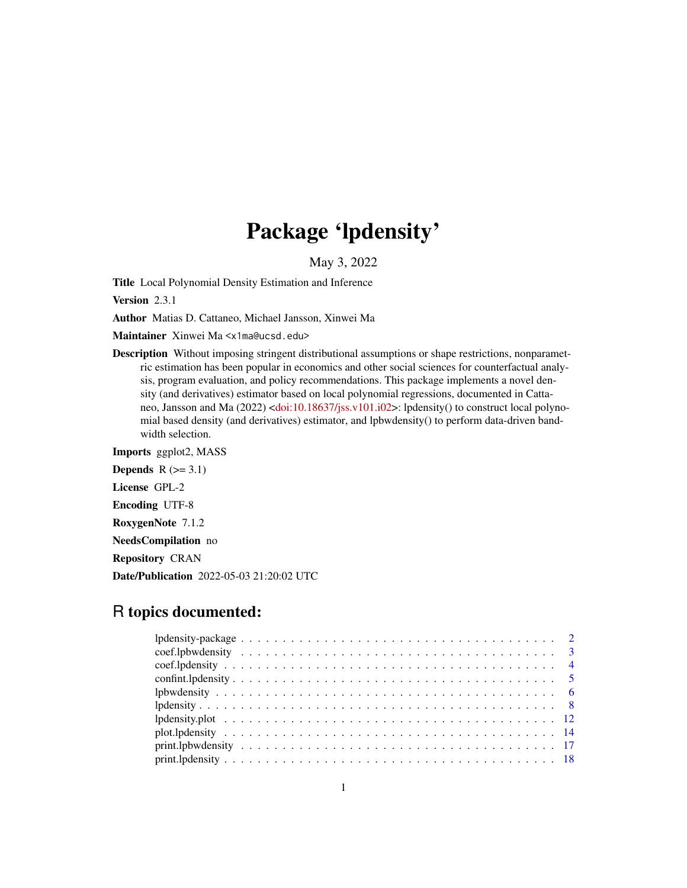# Package 'lpdensity'

May 3, 2022

<span id="page-0-0"></span>Title Local Polynomial Density Estimation and Inference

Version 2.3.1

Author Matias D. Cattaneo, Michael Jansson, Xinwei Ma

Maintainer Xinwei Ma <x1ma@ucsd.edu>

Description Without imposing stringent distributional assumptions or shape restrictions, nonparametric estimation has been popular in economics and other social sciences for counterfactual analysis, program evaluation, and policy recommendations. This package implements a novel density (and derivatives) estimator based on local polynomial regressions, documented in Cattaneo, Jansson and Ma (2022) [<doi:10.18637/jss.v101.i02>](https://doi.org/10.18637/jss.v101.i02): lpdensity() to construct local polynomial based density (and derivatives) estimator, and lpbwdensity() to perform data-driven bandwidth selection.

Imports ggplot2, MASS Depends  $R$  ( $>= 3.1$ ) License GPL-2 Encoding UTF-8 RoxygenNote 7.1.2 NeedsCompilation no Repository CRAN Date/Publication 2022-05-03 21:20:02 UTC

## R topics documented: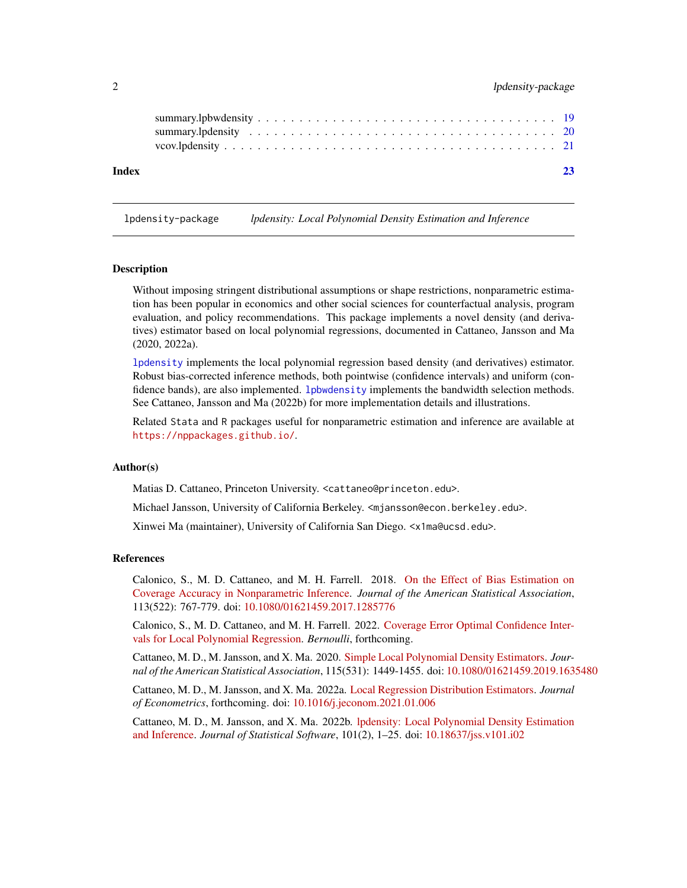<span id="page-1-0"></span>

| Index |  |  |  |  |  |  |  |  |  |  |  |  |  |  |  |  |  |
|-------|--|--|--|--|--|--|--|--|--|--|--|--|--|--|--|--|--|
|       |  |  |  |  |  |  |  |  |  |  |  |  |  |  |  |  |  |

lpdensity-package *lpdensity: Local Polynomial Density Estimation and Inference*

#### **Description**

Without imposing stringent distributional assumptions or shape restrictions, nonparametric estimation has been popular in economics and other social sciences for counterfactual analysis, program evaluation, and policy recommendations. This package implements a novel density (and derivatives) estimator based on local polynomial regressions, documented in Cattaneo, Jansson and Ma (2020, 2022a).

[lpdensity](#page-7-1) implements the local polynomial regression based density (and derivatives) estimator. Robust bias-corrected inference methods, both pointwise (confidence intervals) and uniform (confidence bands), are also implemented. 1pbwdensity implements the bandwidth selection methods. See Cattaneo, Jansson and Ma (2022b) for more implementation details and illustrations.

Related Stata and R packages useful for nonparametric estimation and inference are available at <https://nppackages.github.io/>.

## Author(s)

Matias D. Cattaneo, Princeton University. <cattaneo@princeton.edu>.

Michael Jansson, University of California Berkeley. <mjansson@econ.berkeley.edu>.

Xinwei Ma (maintainer), University of California San Diego. <x1ma@ucsd.edu>.

#### References

Calonico, S., M. D. Cattaneo, and M. H. Farrell. 2018. [On the Effect of Bias Estimation on](https://nppackages.github.io/references/Calonico-Cattaneo-Farrell_2018_JASA.pdf) [Coverage Accuracy in Nonparametric Inference.](https://nppackages.github.io/references/Calonico-Cattaneo-Farrell_2018_JASA.pdf) *Journal of the American Statistical Association*, 113(522): 767-779. doi: [10.1080/01621459.2017.1285776](https://doi.org/10.1080/01621459.2017.1285776)

Calonico, S., M. D. Cattaneo, and M. H. Farrell. 2022. [Coverage Error Optimal Confidence Inter](https://cattaneo.princeton.edu/papers/Calonico-Cattaneo-Farrell_2021_Bernoulli.pdf)[vals for Local Polynomial Regression.](https://cattaneo.princeton.edu/papers/Calonico-Cattaneo-Farrell_2021_Bernoulli.pdf) *Bernoulli*, forthcoming.

Cattaneo, M. D., M. Jansson, and X. Ma. 2020. [Simple Local Polynomial Density Estimators.](https://nppackages.github.io/references/Cattaneo-Jansson-Ma_2020_JASA.pdf) *Journal of the American Statistical Association*, 115(531): 1449-1455. doi: [10.1080/01621459.2019.1635480](https://doi.org/10.1080/01621459.2019.1635480)

Cattaneo, M. D., M. Jansson, and X. Ma. 2022a. [Local Regression Distribution Estimators.](https://nppackages.github.io/references/Cattaneo-Jansson-Ma_2022_JoE.pdf) *Journal of Econometrics*, forthcoming. doi: [10.1016/j.jeconom.2021.01.006](https://doi.org/10.1016/j.jeconom.2021.01.006)

Cattaneo, M. D., M. Jansson, and X. Ma. 2022b. [lpdensity: Local Polynomial Density Estimation](https://nppackages.github.io/references/Cattaneo-Jansson-Ma_2022_JSS.pdf) [and Inference.](https://nppackages.github.io/references/Cattaneo-Jansson-Ma_2022_JSS.pdf) *Journal of Statistical Software*, 101(2), 1–25. doi: [10.18637/jss.v101.i02](https://doi.org/10.18637/jss.v101.i02)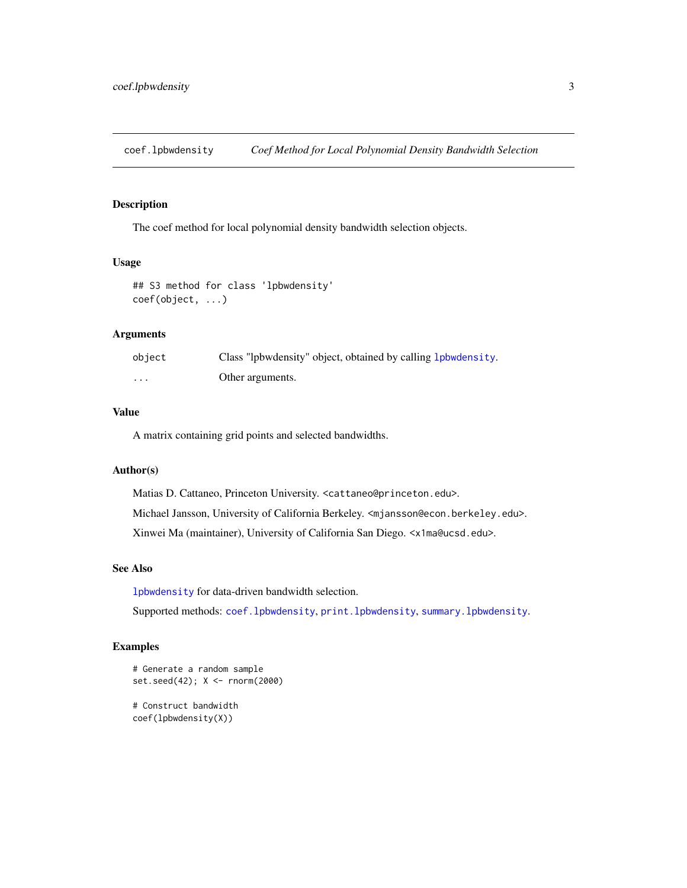<span id="page-2-1"></span><span id="page-2-0"></span>coef.lpbwdensity *Coef Method for Local Polynomial Density Bandwidth Selection*

## Description

The coef method for local polynomial density bandwidth selection objects.

## Usage

```
## S3 method for class 'lpbwdensity'
coef(object, ...)
```
## Arguments

| object | Class "lpbwdensity" object, obtained by calling 1 phydensity. |
|--------|---------------------------------------------------------------|
| .      | Other arguments.                                              |

## Value

A matrix containing grid points and selected bandwidths.

## Author(s)

Matias D. Cattaneo, Princeton University. <cattaneo@princeton.edu>. Michael Jansson, University of California Berkeley. <mjansson@econ.berkeley.edu>. Xinwei Ma (maintainer), University of California San Diego. <x1ma@ucsd.edu>.

## See Also

[lpbwdensity](#page-5-1) for data-driven bandwidth selection.

Supported methods: [coef.lpbwdensity](#page-2-1), [print.lpbwdensity](#page-16-1), [summary.lpbwdensity](#page-18-1).

## Examples

```
# Generate a random sample
set.seed(42); X <- rnorm(2000)
# Construct bandwidth
```
coef(lpbwdensity(X))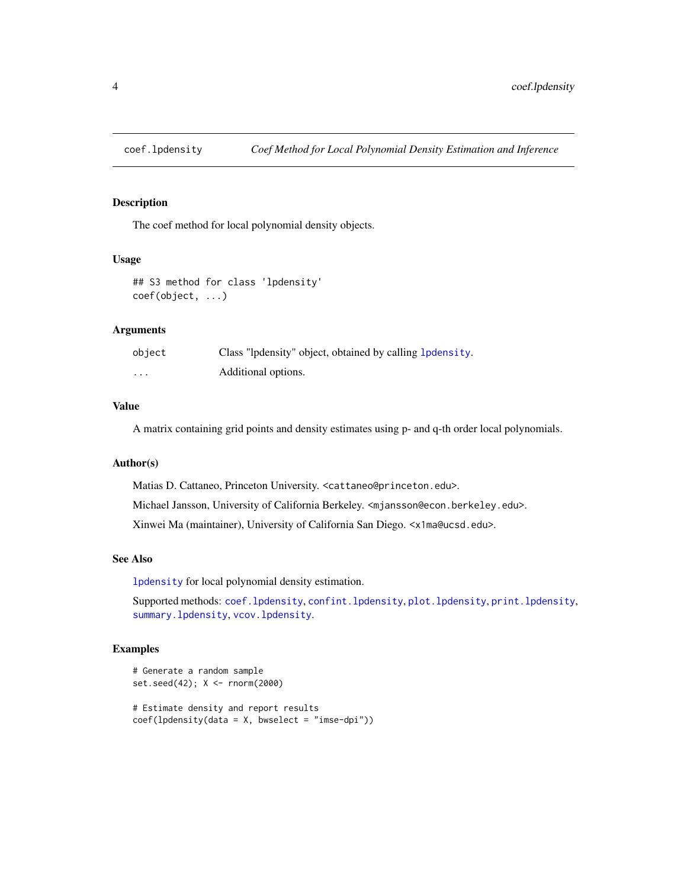<span id="page-3-1"></span><span id="page-3-0"></span>

## Description

The coef method for local polynomial density objects.

#### Usage

```
## S3 method for class 'lpdensity'
coef(object, ...)
```
## Arguments

| object   | Class "lpdensity" object, obtained by calling 1 pdensity. |
|----------|-----------------------------------------------------------|
| $\cdots$ | Additional options.                                       |

## Value

A matrix containing grid points and density estimates using p- and q-th order local polynomials.

## Author(s)

Matias D. Cattaneo, Princeton University. <cattaneo@princeton.edu>. Michael Jansson, University of California Berkeley. <mjansson@econ.berkeley.edu>. Xinwei Ma (maintainer), University of California San Diego. <x1ma@ucsd.edu>.

#### See Also

[lpdensity](#page-7-1) for local polynomial density estimation.

Supported methods: [coef.lpdensity](#page-3-1), [confint.lpdensity](#page-4-1), [plot.lpdensity](#page-13-1), [print.lpdensity](#page-17-1), [summary.lpdensity](#page-19-1), [vcov.lpdensity](#page-20-1).

## Examples

```
# Generate a random sample
set.seed(42); X <- rnorm(2000)
# Estimate density and report results
coef(lpdensity(data = X, bwselect = "imse-dpi"))
```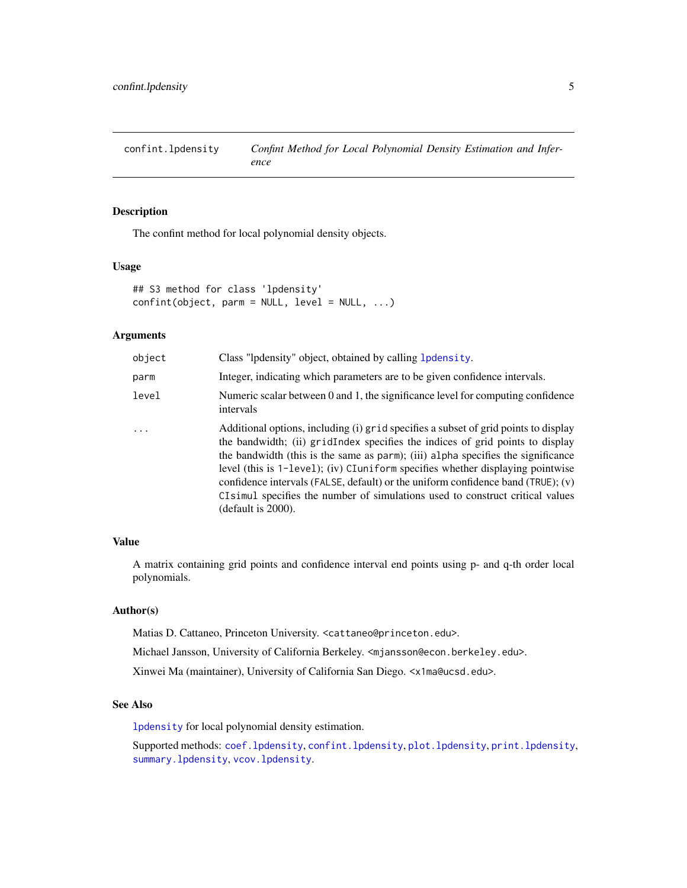<span id="page-4-1"></span><span id="page-4-0"></span>confint.lpdensity *Confint Method for Local Polynomial Density Estimation and Inference*

## Description

The confint method for local polynomial density objects.

#### Usage

```
## S3 method for class 'lpdensity'
confint(object, parm = NULL, level = NULL, ...)
```
## Arguments

| object   | Class "lpdensity" object, obtained by calling 1 pdensity.                                                                                                                                                                                                                                                                                                                                                                                                                                                                                  |
|----------|--------------------------------------------------------------------------------------------------------------------------------------------------------------------------------------------------------------------------------------------------------------------------------------------------------------------------------------------------------------------------------------------------------------------------------------------------------------------------------------------------------------------------------------------|
| parm     | Integer, indicating which parameters are to be given confidence intervals.                                                                                                                                                                                                                                                                                                                                                                                                                                                                 |
| level    | Numeric scalar between 0 and 1, the significance level for computing confidence<br>intervals                                                                                                                                                                                                                                                                                                                                                                                                                                               |
| $\ddots$ | Additional options, including (i) grid specifies a subset of grid points to display<br>the bandwidth; (ii) gridIndex specifies the indices of grid points to display<br>the bandwidth (this is the same as parm); (iii) alpha specifies the significance<br>level (this is 1-level); (iv) CIuniform specifies whether displaying pointwise<br>confidence intervals (FALSE, default) or the uniform confidence band (TRUE); $(v)$<br>CI simular specifies the number of simulations used to construct critical values<br>(default is 2000). |

## Value

A matrix containing grid points and confidence interval end points using p- and q-th order local polynomials.

## Author(s)

Matias D. Cattaneo, Princeton University. <cattaneo@princeton.edu>.

Michael Jansson, University of California Berkeley. <mjansson@econ.berkeley.edu>.

Xinwei Ma (maintainer), University of California San Diego. <x1ma@ucsd.edu>.

#### See Also

[lpdensity](#page-7-1) for local polynomial density estimation.

Supported methods: [coef.lpdensity](#page-3-1), [confint.lpdensity](#page-4-1), [plot.lpdensity](#page-13-1), [print.lpdensity](#page-17-1), [summary.lpdensity](#page-19-1), [vcov.lpdensity](#page-20-1).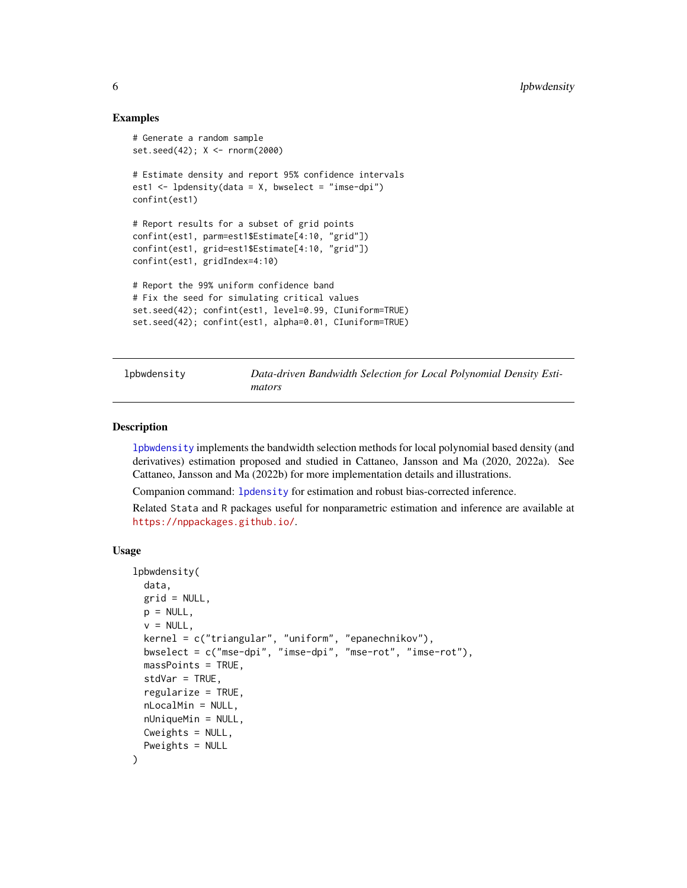## Examples

```
# Generate a random sample
set.seed(42); X <- rnorm(2000)
# Estimate density and report 95% confidence intervals
est1 \le lpdensity(data = X, bwselect = "imse-dpi")
confint(est1)
# Report results for a subset of grid points
confint(est1, parm=est1$Estimate[4:10, "grid"])
confint(est1, grid=est1$Estimate[4:10, "grid"])
confint(est1, gridIndex=4:10)
# Report the 99% uniform confidence band
# Fix the seed for simulating critical values
set.seed(42); confint(est1, level=0.99, CIuniform=TRUE)
set.seed(42); confint(est1, alpha=0.01, CIuniform=TRUE)
```
<span id="page-5-1"></span>lpbwdensity *Data-driven Bandwidth Selection for Local Polynomial Density Estimators*

#### **Description**

[lpbwdensity](#page-5-1) implements the bandwidth selection methods for local polynomial based density (and derivatives) estimation proposed and studied in Cattaneo, Jansson and Ma (2020, 2022a). See Cattaneo, Jansson and Ma (2022b) for more implementation details and illustrations.

Companion command: [lpdensity](#page-7-1) for estimation and robust bias-corrected inference.

Related Stata and R packages useful for nonparametric estimation and inference are available at <https://nppackages.github.io/>.

#### Usage

```
lpbwdensity(
  data,
  grid = NULL,p = NULL,v = NULL,kernel = c("triangular", "uniform", "epanechnikov"),
  bwselect = c("mse-dpi", "imse-dpi", "mse-rot", "imse-rot"),
  massPoints = TRUE,
  stdVar = TRUE,
  regularize = TRUE,
  nLocalMin = NULL,
  nUniqueMin = NULL,
 Cweights = NULL,
  Pweights = NULL
)
```
<span id="page-5-0"></span>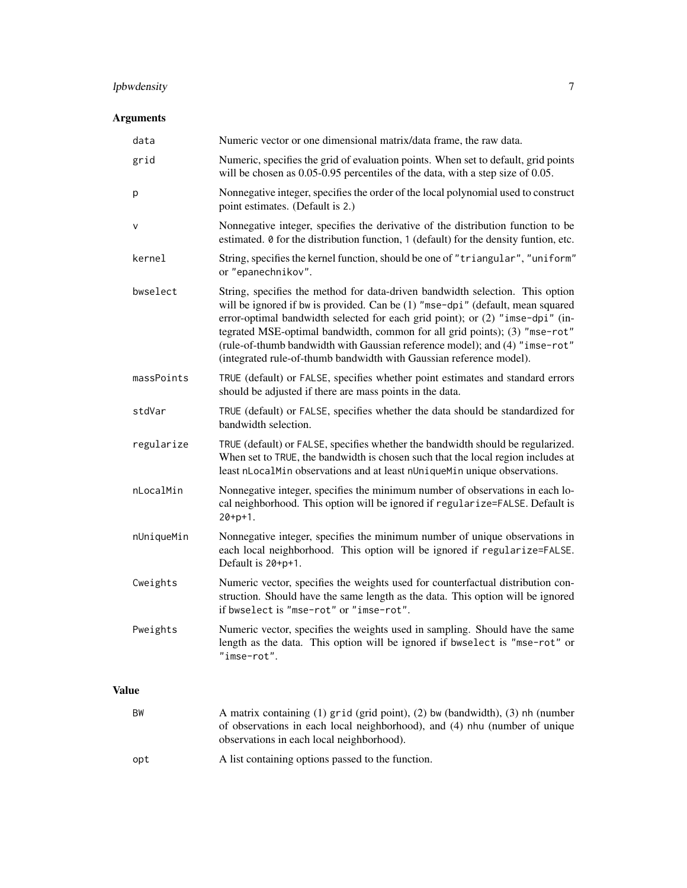## lpbwdensity 7

## Arguments

| data         | Numeric vector or one dimensional matrix/data frame, the raw data.                                                                                                                                                                                                                                                                                                                                                                                                                   |
|--------------|--------------------------------------------------------------------------------------------------------------------------------------------------------------------------------------------------------------------------------------------------------------------------------------------------------------------------------------------------------------------------------------------------------------------------------------------------------------------------------------|
| grid         | Numeric, specifies the grid of evaluation points. When set to default, grid points<br>will be chosen as 0.05-0.95 percentiles of the data, with a step size of 0.05.                                                                                                                                                                                                                                                                                                                 |
| p            | Nonnegative integer, specifies the order of the local polynomial used to construct<br>point estimates. (Default is 2.)                                                                                                                                                                                                                                                                                                                                                               |
| $\vee$       | Nonnegative integer, specifies the derivative of the distribution function to be<br>estimated. 0 for the distribution function, 1 (default) for the density funtion, etc.                                                                                                                                                                                                                                                                                                            |
| kernel       | String, specifies the kernel function, should be one of "triangular", "uniform"<br>or "epanechnikov".                                                                                                                                                                                                                                                                                                                                                                                |
| bwselect     | String, specifies the method for data-driven bandwidth selection. This option<br>will be ignored if bw is provided. Can be (1) "mse-dpi" (default, mean squared<br>error-optimal bandwidth selected for each grid point); or (2) "imse-dpi" (in-<br>tegrated MSE-optimal bandwidth, common for all grid points); (3) "mse-rot"<br>(rule-of-thumb bandwidth with Gaussian reference model); and (4) "imse-rot"<br>(integrated rule-of-thumb bandwidth with Gaussian reference model). |
| massPoints   | TRUE (default) or FALSE, specifies whether point estimates and standard errors<br>should be adjusted if there are mass points in the data.                                                                                                                                                                                                                                                                                                                                           |
| stdVar       | TRUE (default) or FALSE, specifies whether the data should be standardized for<br>bandwidth selection.                                                                                                                                                                                                                                                                                                                                                                               |
| regularize   | TRUE (default) or FALSE, specifies whether the bandwidth should be regularized.<br>When set to TRUE, the bandwidth is chosen such that the local region includes at<br>least nLocalMin observations and at least nUniqueMin unique observations.                                                                                                                                                                                                                                     |
| nLocalMin    | Nonnegative integer, specifies the minimum number of observations in each lo-<br>cal neighborhood. This option will be ignored if regularize=FALSE. Default is<br>$20 + p + 1$ .                                                                                                                                                                                                                                                                                                     |
| nUniqueMin   | Nonnegative integer, specifies the minimum number of unique observations in<br>each local neighborhood. This option will be ignored if regularize=FALSE.<br>Default is 20+p+1.                                                                                                                                                                                                                                                                                                       |
| Cweights     | Numeric vector, specifies the weights used for counterfactual distribution con-<br>struction. Should have the same length as the data. This option will be ignored<br>if bwselect is "mse-rot" or "imse-rot".                                                                                                                                                                                                                                                                        |
| Pweights     | Numeric vector, specifies the weights used in sampling. Should have the same<br>length as the data. This option will be ignored if bwselect is "mse-rot" or<br>"imse-rot".                                                                                                                                                                                                                                                                                                           |
| <b>Value</b> |                                                                                                                                                                                                                                                                                                                                                                                                                                                                                      |

- BW A matrix containing (1) grid (grid point), (2) bw (bandwidth), (3) nh (number of observations in each local neighborhood), and (4) nhu (number of unique observations in each local neighborhood).
- opt A list containing options passed to the function.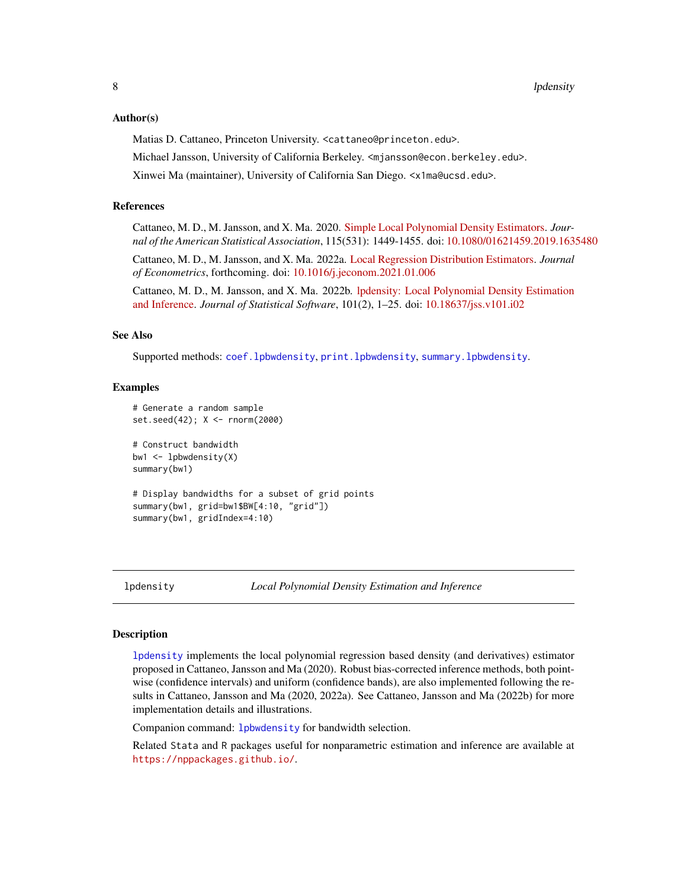#### <span id="page-7-0"></span>Author(s)

Matias D. Cattaneo, Princeton University. <cattaneo@princeton.edu>.

Michael Jansson, University of California Berkeley. <mjansson@econ.berkeley.edu>.

Xinwei Ma (maintainer), University of California San Diego. <x1ma@ucsd.edu>.

#### References

Cattaneo, M. D., M. Jansson, and X. Ma. 2020. [Simple Local Polynomial Density Estimators.](https://nppackages.github.io/references/Cattaneo-Jansson-Ma_2020_JASA.pdf) *Journal of the American Statistical Association*, 115(531): 1449-1455. doi: [10.1080/01621459.2019.1635480](https://doi.org/10.1080/01621459.2019.1635480)

Cattaneo, M. D., M. Jansson, and X. Ma. 2022a. [Local Regression Distribution Estimators.](https://nppackages.github.io/references/Cattaneo-Jansson-Ma_2022_JoE.pdf) *Journal of Econometrics*, forthcoming. doi: [10.1016/j.jeconom.2021.01.006](https://doi.org/10.1016/j.jeconom.2021.01.006)

Cattaneo, M. D., M. Jansson, and X. Ma. 2022b. [lpdensity: Local Polynomial Density Estimation](https://nppackages.github.io/references/Cattaneo-Jansson-Ma_2022_JSS.pdf) [and Inference.](https://nppackages.github.io/references/Cattaneo-Jansson-Ma_2022_JSS.pdf) *Journal of Statistical Software*, 101(2), 1–25. doi: [10.18637/jss.v101.i02](https://doi.org/10.18637/jss.v101.i02)

#### See Also

Supported methods: [coef.lpbwdensity](#page-2-1), [print.lpbwdensity](#page-16-1), [summary.lpbwdensity](#page-18-1).

#### Examples

```
# Generate a random sample
set.seed(42); X <- rnorm(2000)
# Construct bandwidth
bw1 \leftarrow lpbwdensity(X)
summary(bw1)
# Display bandwidths for a subset of grid points
summary(bw1, grid=bw1$BW[4:10, "grid"])
summary(bw1, gridIndex=4:10)
```
<span id="page-7-1"></span>lpdensity *Local Polynomial Density Estimation and Inference*

## Description

[lpdensity](#page-7-1) implements the local polynomial regression based density (and derivatives) estimator proposed in Cattaneo, Jansson and Ma (2020). Robust bias-corrected inference methods, both pointwise (confidence intervals) and uniform (confidence bands), are also implemented following the results in Cattaneo, Jansson and Ma (2020, 2022a). See Cattaneo, Jansson and Ma (2022b) for more implementation details and illustrations.

Companion command: [lpbwdensity](#page-5-1) for bandwidth selection.

Related Stata and R packages useful for nonparametric estimation and inference are available at <https://nppackages.github.io/>.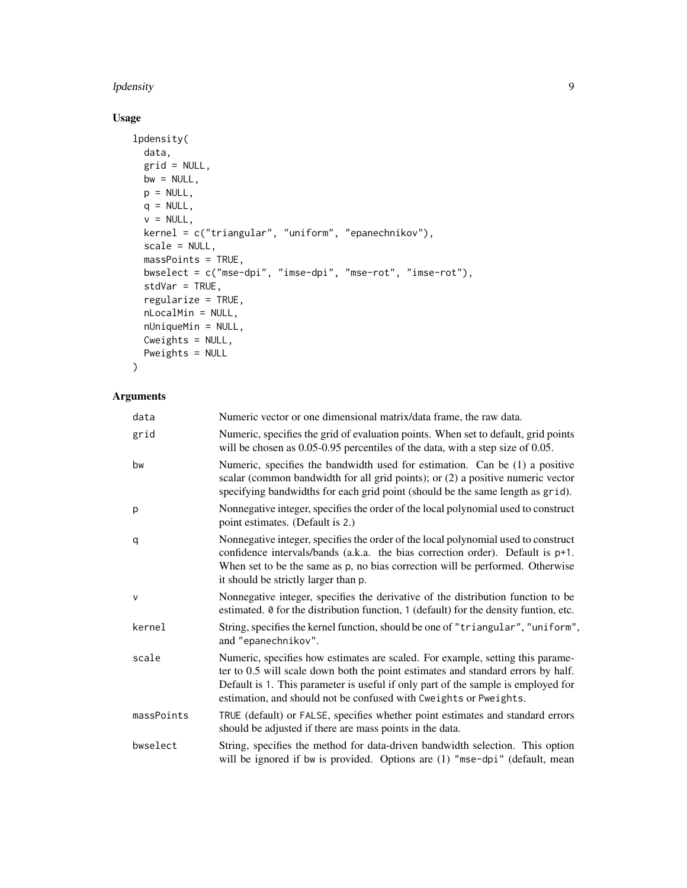#### lpdensity and the set of the set of the set of the set of the set of the set of the set of the set of the set o

## Usage

```
lpdensity(
 data,
 grid = NULL,
 bw = NULL,p = NULL,q = NULL,v = NULL,kernel = c("triangular", "uniform", "epanechnikov"),
 scale = NULL,
 massPoints = TRUE,
 bwselect = c("mse-dpi", "imse-dpi", "mse-rot", "imse-rot"),
 stdVar = TRUE,
 regularize = TRUE,
 nLocalMin = NULL,
 nUniqueMin = NULL,
 Cweights = NULL,
 Pweights = NULL
\mathcal{L}
```
## Arguments

| data         | Numeric vector or one dimensional matrix/data frame, the raw data.                                                                                                                                                                                                                                                           |
|--------------|------------------------------------------------------------------------------------------------------------------------------------------------------------------------------------------------------------------------------------------------------------------------------------------------------------------------------|
| grid         | Numeric, specifies the grid of evaluation points. When set to default, grid points<br>will be chosen as 0.05-0.95 percentiles of the data, with a step size of 0.05.                                                                                                                                                         |
| bw           | Numeric, specifies the bandwidth used for estimation. Can be (1) a positive<br>scalar (common bandwidth for all grid points); or (2) a positive numeric vector<br>specifying bandwidths for each grid point (should be the same length as grid).                                                                             |
| p            | Nonnegative integer, specifies the order of the local polynomial used to construct<br>point estimates. (Default is 2.)                                                                                                                                                                                                       |
| q            | Nonnegative integer, specifies the order of the local polynomial used to construct<br>confidence intervals/bands (a.k.a. the bias correction order). Default is p+1.<br>When set to be the same as p, no bias correction will be performed. Otherwise<br>it should be strictly larger than p.                                |
| $\mathsf{V}$ | Nonnegative integer, specifies the derivative of the distribution function to be<br>estimated. 0 for the distribution function, 1 (default) for the density funtion, etc.                                                                                                                                                    |
| kernel       | String, specifies the kernel function, should be one of "triangular", "uniform",<br>and "epanechnikov".                                                                                                                                                                                                                      |
| scale        | Numeric, specifies how estimates are scaled. For example, setting this parame-<br>ter to 0.5 will scale down both the point estimates and standard errors by half.<br>Default is 1. This parameter is useful if only part of the sample is employed for<br>estimation, and should not be confused with Cweights or Pweights. |
| massPoints   | TRUE (default) or FALSE, specifies whether point estimates and standard errors<br>should be adjusted if there are mass points in the data.                                                                                                                                                                                   |
| bwselect     | String, specifies the method for data-driven bandwidth selection. This option<br>will be ignored if bw is provided. Options are (1) "mse-dpi" (default, mean                                                                                                                                                                 |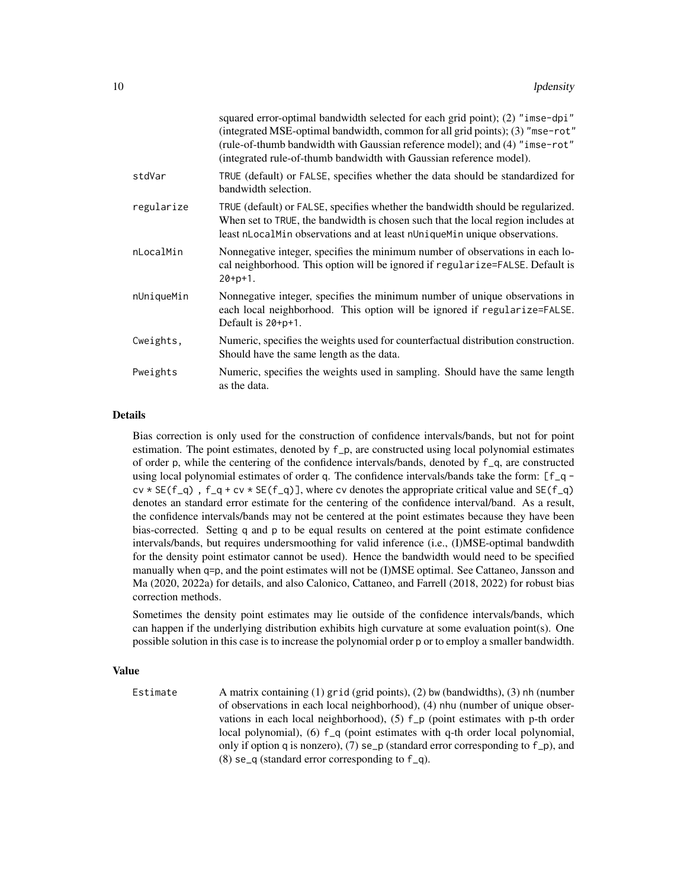|            | squared error-optimal bandwidth selected for each grid point); (2) "imse-dpi"<br>(integrated MSE-optimal bandwidth, common for all grid points); (3) "mse-rot"<br>(rule-of-thumb bandwidth with Gaussian reference model); and (4) "imse-rot"<br>(integrated rule-of-thumb bandwidth with Gaussian reference model). |
|------------|----------------------------------------------------------------------------------------------------------------------------------------------------------------------------------------------------------------------------------------------------------------------------------------------------------------------|
| stdVar     | TRUE (default) or FALSE, specifies whether the data should be standardized for<br>bandwidth selection.                                                                                                                                                                                                               |
| regularize | TRUE (default) or FALSE, specifies whether the bandwidth should be regularized.<br>When set to TRUE, the bandwidth is chosen such that the local region includes at<br>least nLocalMin observations and at least nUniqueMin unique observations.                                                                     |
| nLocalMin  | Nonnegative integer, specifies the minimum number of observations in each lo-<br>cal neighborhood. This option will be ignored if regularize=FALSE. Default is<br>$20+pt+1$ .                                                                                                                                        |
| nUniqueMin | Nonnegative integer, specifies the minimum number of unique observations in<br>each local neighborhood. This option will be ignored if regularize=FALSE.<br>Default is 20+p+1.                                                                                                                                       |
| Cweights,  | Numeric, specifies the weights used for counterfactual distribution construction.<br>Should have the same length as the data.                                                                                                                                                                                        |
| Pweights   | Numeric, specifies the weights used in sampling. Should have the same length<br>as the data.                                                                                                                                                                                                                         |

## Details

Bias correction is only used for the construction of confidence intervals/bands, but not for point estimation. The point estimates, denoted by f\_p, are constructed using local polynomial estimates of order p, while the centering of the confidence intervals/bands, denoted by f\_q, are constructed using local polynomial estimates of order q. The confidence intervals/bands take the form: [f\_q  $cv * SE(f_q)$ ,  $f_q + cv * SE(f_q)$ , where cv denotes the appropriate critical value and  $SE(f_q)$ denotes an standard error estimate for the centering of the confidence interval/band. As a result, the confidence intervals/bands may not be centered at the point estimates because they have been bias-corrected. Setting q and p to be equal results on centered at the point estimate confidence intervals/bands, but requires undersmoothing for valid inference (i.e., (I)MSE-optimal bandwdith for the density point estimator cannot be used). Hence the bandwidth would need to be specified manually when q=p, and the point estimates will not be (I)MSE optimal. See Cattaneo, Jansson and Ma (2020, 2022a) for details, and also Calonico, Cattaneo, and Farrell (2018, 2022) for robust bias correction methods.

Sometimes the density point estimates may lie outside of the confidence intervals/bands, which can happen if the underlying distribution exhibits high curvature at some evaluation point(s). One possible solution in this case is to increase the polynomial order p or to employ a smaller bandwidth.

#### Value

Estimate A matrix containing (1) grid (grid points), (2) bw (bandwidths), (3) nh (number of observations in each local neighborhood), (4) nhu (number of unique observations in each local neighborhood), (5) f\_p (point estimates with p-th order local polynomial), (6) f\_q (point estimates with q-th order local polynomial, only if option q is nonzero), (7) se\_p (standard error corresponding to  $f_p$ ), and (8) se $_q$  (standard error corresponding to  $f_q$ ).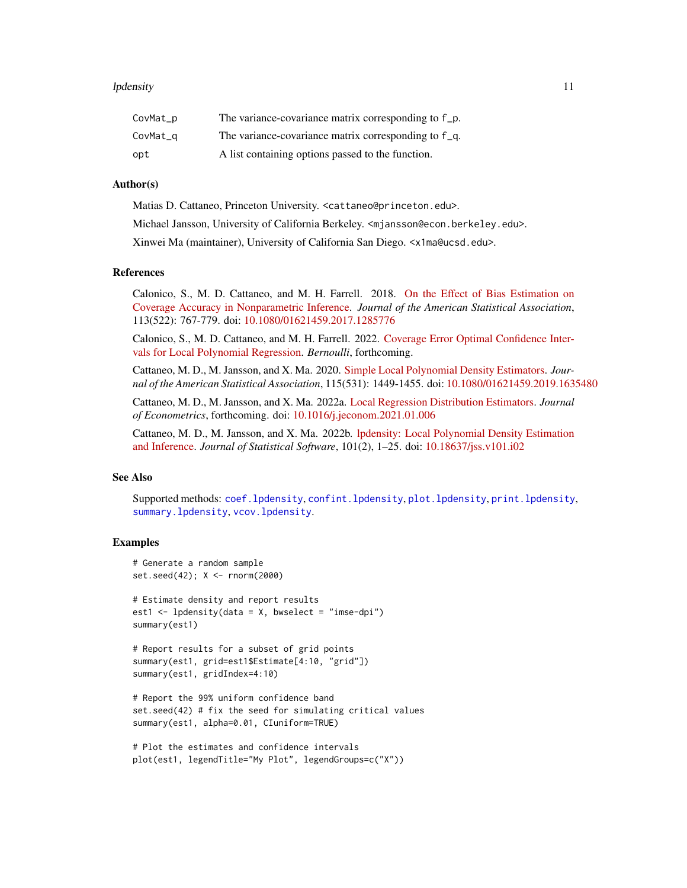#### <span id="page-10-0"></span>lpdensity and the state of the state of the state of the state of the state of the state of the state of the state of the state of the state of the state of the state of the state of the state of the state of the state of

| CovMat_p | The variance-covariance matrix corresponding to f_p. |
|----------|------------------------------------------------------|
| CovMat_q | The variance-covariance matrix corresponding to f q. |
| opt      | A list containing options passed to the function.    |

## Author(s)

Matias D. Cattaneo, Princeton University. <cattaneo@princeton.edu>.

Michael Jansson, University of California Berkeley. <mjansson@econ.berkeley.edu>.

Xinwei Ma (maintainer), University of California San Diego. <x1ma@ucsd.edu>.

## References

Calonico, S., M. D. Cattaneo, and M. H. Farrell. 2018. [On the Effect of Bias Estimation on](https://nppackages.github.io/references/Calonico-Cattaneo-Farrell_2018_JASA.pdf) [Coverage Accuracy in Nonparametric Inference.](https://nppackages.github.io/references/Calonico-Cattaneo-Farrell_2018_JASA.pdf) *Journal of the American Statistical Association*, 113(522): 767-779. doi: [10.1080/01621459.2017.1285776](https://doi.org/10.1080/01621459.2017.1285776)

Calonico, S., M. D. Cattaneo, and M. H. Farrell. 2022. [Coverage Error Optimal Confidence Inter](https://cattaneo.princeton.edu/papers/Calonico-Cattaneo-Farrell_2021_Bernoulli.pdf)[vals for Local Polynomial Regression.](https://cattaneo.princeton.edu/papers/Calonico-Cattaneo-Farrell_2021_Bernoulli.pdf) *Bernoulli*, forthcoming.

Cattaneo, M. D., M. Jansson, and X. Ma. 2020. [Simple Local Polynomial Density Estimators.](https://nppackages.github.io/references/Cattaneo-Jansson-Ma_2020_JASA.pdf) *Journal of the American Statistical Association*, 115(531): 1449-1455. doi: [10.1080/01621459.2019.1635480](https://doi.org/10.1080/01621459.2019.1635480)

Cattaneo, M. D., M. Jansson, and X. Ma. 2022a. [Local Regression Distribution Estimators.](https://nppackages.github.io/references/Cattaneo-Jansson-Ma_2022_JoE.pdf) *Journal of Econometrics*, forthcoming. doi: [10.1016/j.jeconom.2021.01.006](https://doi.org/10.1016/j.jeconom.2021.01.006)

Cattaneo, M. D., M. Jansson, and X. Ma. 2022b. [lpdensity: Local Polynomial Density Estimation](https://nppackages.github.io/references/Cattaneo-Jansson-Ma_2022_JSS.pdf) [and Inference.](https://nppackages.github.io/references/Cattaneo-Jansson-Ma_2022_JSS.pdf) *Journal of Statistical Software*, 101(2), 1–25. doi: [10.18637/jss.v101.i02](https://doi.org/10.18637/jss.v101.i02)

## See Also

Supported methods: [coef.lpdensity](#page-3-1), [confint.lpdensity](#page-4-1), [plot.lpdensity](#page-13-1), [print.lpdensity](#page-17-1), [summary.lpdensity](#page-19-1), [vcov.lpdensity](#page-20-1).

#### Examples

```
# Generate a random sample
set.seed(42); X <- rnorm(2000)
```

```
# Estimate density and report results
est1 \le lpdensity(data = X, bwselect = "imse-dpi")
summary(est1)
```

```
# Report results for a subset of grid points
summary(est1, grid=est1$Estimate[4:10, "grid"])
summary(est1, gridIndex=4:10)
```

```
# Report the 99% uniform confidence band
set.seed(42) # fix the seed for simulating critical values
summary(est1, alpha=0.01, CIuniform=TRUE)
```

```
# Plot the estimates and confidence intervals
plot(est1, legendTitle="My Plot", legendGroups=c("X"))
```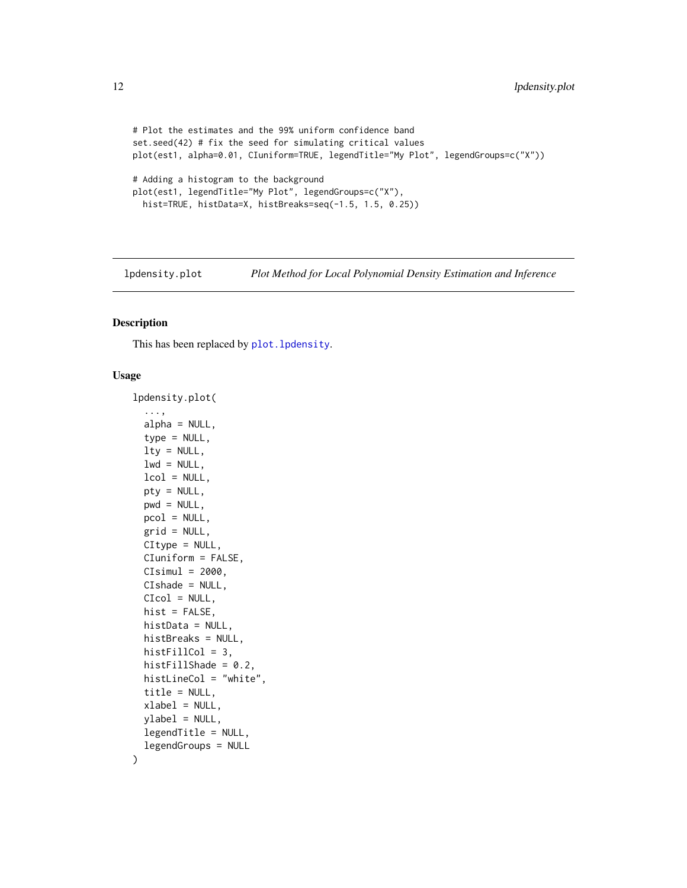```
# Plot the estimates and the 99% uniform confidence band
set.seed(42) # fix the seed for simulating critical values
plot(est1, alpha=0.01, CIuniform=TRUE, legendTitle="My Plot", legendGroups=c("X"))
# Adding a histogram to the background
plot(est1, legendTitle="My Plot", legendGroups=c("X"),
 hist=TRUE, histData=X, histBreaks=seq(-1.5, 1.5, 0.25))
```
lpdensity.plot *Plot Method for Local Polynomial Density Estimation and Inference*

#### Description

This has been replaced by [plot.lpdensity](#page-13-1).

## Usage

```
lpdensity.plot(
  ...,
  alpha = NULL,
  type = NULL,
  lty = NULL,lwd = NULL,lcol = NULL,pty = NULL,
  pwd = NULL,
  pcol = NULL,
  grid = NULL,
  CItype = NULL,
  CIuniform = FALSE,
  CIsimul = 2000,CIshade = NULL,
  CIcol = NULL,
  hist = FALSE,
  histData = NULL,
  histBreaks = NULL,
  histFillCol = 3,
  histFillShade = 0.2,
  histLineCol = "white",
  title = NULL,
  xlabel = NULL,vlabel = NULL,legendTitle = NULL,
  legendGroups = NULL
)
```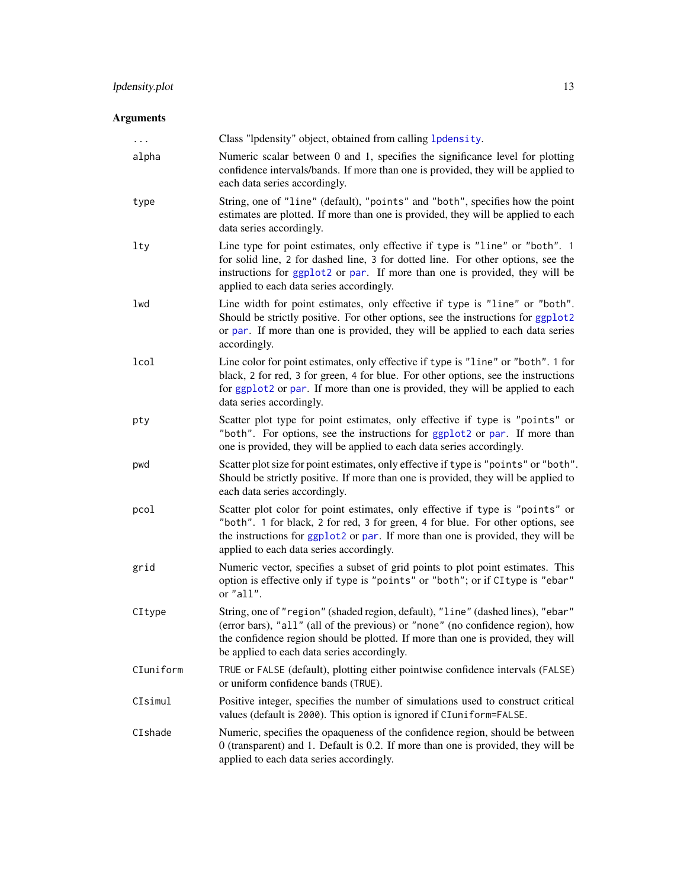## <span id="page-12-0"></span>lpdensity.plot 13

## Arguments

| $\cdots$  | Class "lpdensity" object, obtained from calling 1pdensity.                                                                                                                                                                                                                                            |
|-----------|-------------------------------------------------------------------------------------------------------------------------------------------------------------------------------------------------------------------------------------------------------------------------------------------------------|
| alpha     | Numeric scalar between 0 and 1, specifies the significance level for plotting<br>confidence intervals/bands. If more than one is provided, they will be applied to<br>each data series accordingly.                                                                                                   |
| type      | String, one of "line" (default), "points" and "both", specifies how the point<br>estimates are plotted. If more than one is provided, they will be applied to each<br>data series accordingly.                                                                                                        |
| lty       | Line type for point estimates, only effective if type is "line" or "both". 1<br>for solid line, 2 for dashed line, 3 for dotted line. For other options, see the<br>instructions for ggplot2 or par. If more than one is provided, they will be<br>applied to each data series accordingly.           |
| lwd       | Line width for point estimates, only effective if type is "line" or "both".<br>Should be strictly positive. For other options, see the instructions for ggplot2<br>or par. If more than one is provided, they will be applied to each data series<br>accordingly.                                     |
| lcol      | Line color for point estimates, only effective if type is "line" or "both". 1 for<br>black, 2 for red, 3 for green, 4 for blue. For other options, see the instructions<br>for ggplot2 or par. If more than one is provided, they will be applied to each<br>data series accordingly.                 |
| pty       | Scatter plot type for point estimates, only effective if type is "points" or<br>"both". For options, see the instructions for ggplot2 or par. If more than<br>one is provided, they will be applied to each data series accordingly.                                                                  |
| pwd       | Scatter plot size for point estimates, only effective if type is "points" or "both".<br>Should be strictly positive. If more than one is provided, they will be applied to<br>each data series accordingly.                                                                                           |
| pcol      | Scatter plot color for point estimates, only effective if type is "points" or<br>"both". 1 for black, 2 for red, 3 for green, 4 for blue. For other options, see<br>the instructions for ggplot2 or par. If more than one is provided, they will be<br>applied to each data series accordingly.       |
| grid      | Numeric vector, specifies a subset of grid points to plot point estimates. This<br>option is effective only if type is "points" or "both"; or if CI type is "ebar"<br>or "all".                                                                                                                       |
| CItype    | String, one of "region" (shaded region, default), "line" (dashed lines), "ebar"<br>(error bars), "all" (all of the previous) or "none" (no confidence region), how<br>the confidence region should be plotted. If more than one is provided, they will<br>be applied to each data series accordingly. |
| CIuniform | TRUE or FALSE (default), plotting either pointwise confidence intervals (FALSE)<br>or uniform confidence bands (TRUE).                                                                                                                                                                                |
| CIsimul   | Positive integer, specifies the number of simulations used to construct critical<br>values (default is 2000). This option is ignored if CIuniform=FALSE.                                                                                                                                              |
| CIshade   | Numeric, specifies the opaqueness of the confidence region, should be between<br>0 (transparent) and 1. Default is 0.2. If more than one is provided, they will be<br>applied to each data series accordingly.                                                                                        |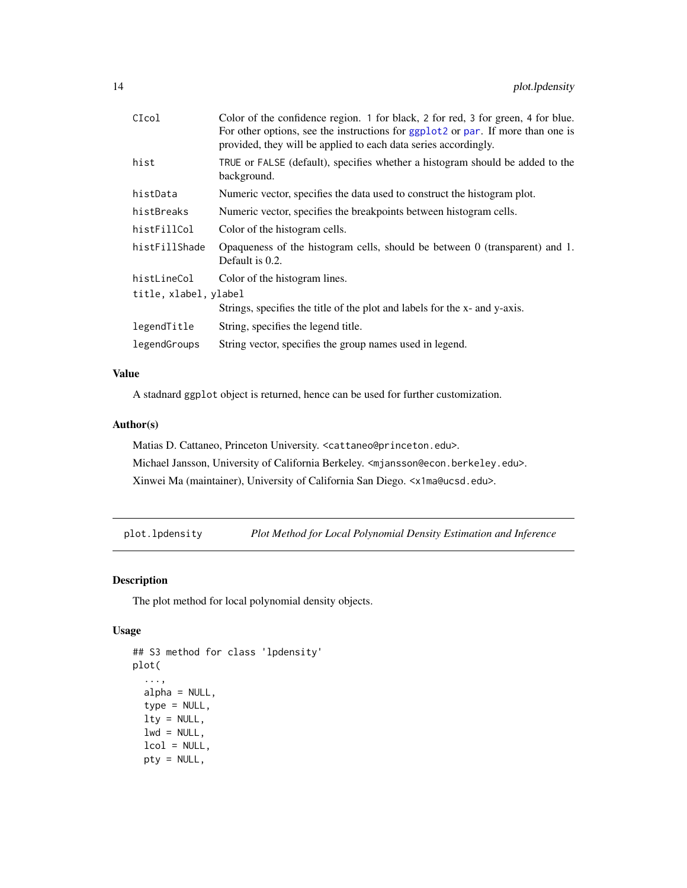<span id="page-13-0"></span>

| CIcol                 | Color of the confidence region. 1 for black, 2 for red, 3 for green, 4 for blue.<br>For other options, see the instructions for ggplot2 or par. If more than one is<br>provided, they will be applied to each data series accordingly. |
|-----------------------|----------------------------------------------------------------------------------------------------------------------------------------------------------------------------------------------------------------------------------------|
| hist                  | TRUE or FALSE (default), specifies whether a histogram should be added to the<br>background.                                                                                                                                           |
| histData              | Numeric vector, specifies the data used to construct the histogram plot.                                                                                                                                                               |
| histBreaks            | Numeric vector, specifies the breakpoints between histogram cells.                                                                                                                                                                     |
| histFillCol           | Color of the histogram cells.                                                                                                                                                                                                          |
| histFillShade         | Opaqueness of the histogram cells, should be between 0 (transparent) and 1.<br>Default is 0.2.                                                                                                                                         |
| histLineCol           | Color of the histogram lines.                                                                                                                                                                                                          |
| title, xlabel, ylabel |                                                                                                                                                                                                                                        |
|                       | Strings, specifies the title of the plot and labels for the x- and y-axis.                                                                                                                                                             |
| legendTitle           | String, specifies the legend title.                                                                                                                                                                                                    |
| legendGroups          | String vector, specifies the group names used in legend.                                                                                                                                                                               |

## Value

A stadnard ggplot object is returned, hence can be used for further customization.

## Author(s)

Matias D. Cattaneo, Princeton University. <cattaneo@princeton.edu>. Michael Jansson, University of California Berkeley. <mjansson@econ.berkeley.edu>. Xinwei Ma (maintainer), University of California San Diego. <x1ma@ucsd.edu>.

<span id="page-13-1"></span>plot.lpdensity *Plot Method for Local Polynomial Density Estimation and Inference*

## Description

The plot method for local polynomial density objects.

## Usage

```
## S3 method for class 'lpdensity'
plot(
  ...,
 alpha = NULL,type = NULL,
  lty = NULL,lwd = NULL,lcol = NULL,pty = NULL,
```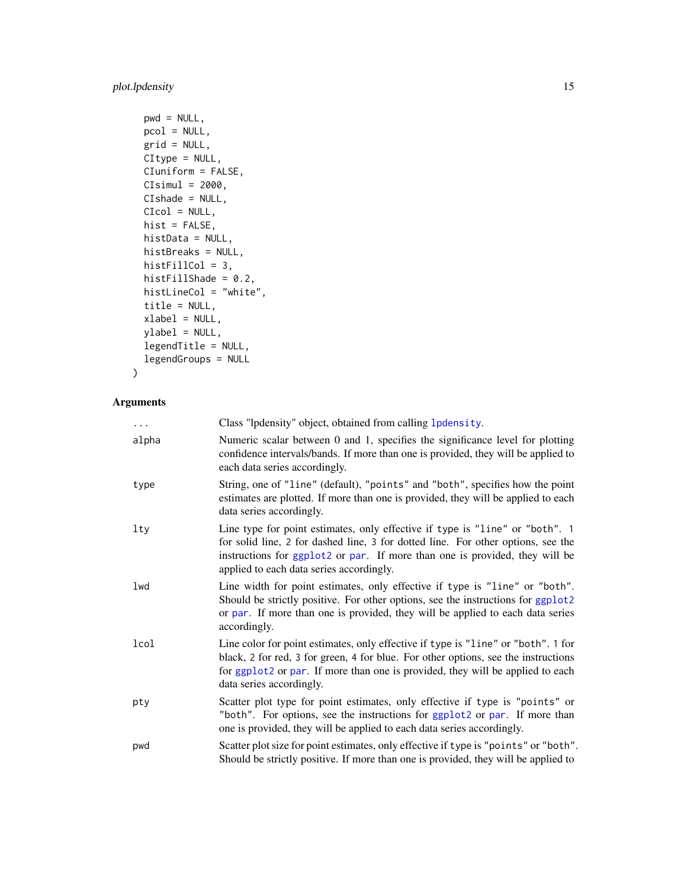## <span id="page-14-0"></span>plot.lpdensity 15

```
pwd = NULL,pcol = NULL,
grid = NULL,CItype = NULL,
CIuniform = FALSE,
CIsimul = 2000,CIshade = NULL,
CIcol = NULL,
hist = FALSE,
histData = NULL,
histBreaks = NULL,
histFillCol = 3,
histFillShade = 0.2,
histLineCol = "white",
title = NULL,
xlabel = NULL,
ylabel = NULL,
legendTitle = NULL,
legendGroups = NULL
```

```
\mathcal{L}
```
## Arguments

| $\cdots$ | Class "lpdensity" object, obtained from calling 1 pdensity.                                                                                                                                                                                                                                 |
|----------|---------------------------------------------------------------------------------------------------------------------------------------------------------------------------------------------------------------------------------------------------------------------------------------------|
| alpha    | Numeric scalar between 0 and 1, specifies the significance level for plotting<br>confidence intervals/bands. If more than one is provided, they will be applied to<br>each data series accordingly.                                                                                         |
| type     | String, one of "line" (default), "points" and "both", specifies how the point<br>estimates are plotted. If more than one is provided, they will be applied to each<br>data series accordingly.                                                                                              |
| lty      | Line type for point estimates, only effective if type is "line" or "both". 1<br>for solid line, 2 for dashed line, 3 for dotted line. For other options, see the<br>instructions for ggplot2 or par. If more than one is provided, they will be<br>applied to each data series accordingly. |
| lwd      | Line width for point estimates, only effective if type is "line" or "both".<br>Should be strictly positive. For other options, see the instructions for ggplot2<br>or par. If more than one is provided, they will be applied to each data series<br>accordingly.                           |
| lcol     | Line color for point estimates, only effective if type is "line" or "both". 1 for<br>black, 2 for red, 3 for green, 4 for blue. For other options, see the instructions<br>for ggplot2 or par. If more than one is provided, they will be applied to each<br>data series accordingly.       |
| pty      | Scatter plot type for point estimates, only effective if type is "points" or<br>"both". For options, see the instructions for ggplot2 or par. If more than<br>one is provided, they will be applied to each data series accordingly.                                                        |
| pwd      | Scatter plot size for point estimates, only effective if type is "points" or "both".<br>Should be strictly positive. If more than one is provided, they will be applied to                                                                                                                  |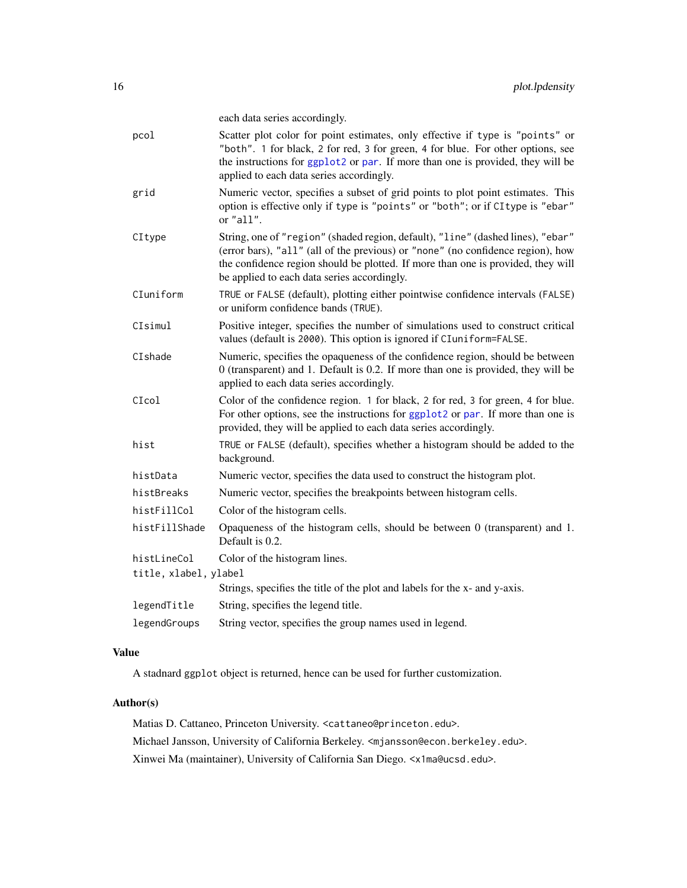each data series accordingly.

<span id="page-15-0"></span>

| Scatter plot color for point estimates, only effective if type is "points" or<br>"both". 1 for black, 2 for red, 3 for green, 4 for blue. For other options, see<br>the instructions for ggplot2 or par. If more than one is provided, they will be<br>applied to each data series accordingly.       |
|-------------------------------------------------------------------------------------------------------------------------------------------------------------------------------------------------------------------------------------------------------------------------------------------------------|
| Numeric vector, specifies a subset of grid points to plot point estimates. This<br>option is effective only if type is "points" or "both"; or if CI type is "ebar"<br>or "all".                                                                                                                       |
| String, one of "region" (shaded region, default), "line" (dashed lines), "ebar"<br>(error bars), "all" (all of the previous) or "none" (no confidence region), how<br>the confidence region should be plotted. If more than one is provided, they will<br>be applied to each data series accordingly. |
| TRUE or FALSE (default), plotting either pointwise confidence intervals (FALSE)<br>or uniform confidence bands (TRUE).                                                                                                                                                                                |
| Positive integer, specifies the number of simulations used to construct critical<br>values (default is 2000). This option is ignored if CIuniform=FALSE.                                                                                                                                              |
| Numeric, specifies the opaqueness of the confidence region, should be between<br>0 (transparent) and 1. Default is 0.2. If more than one is provided, they will be<br>applied to each data series accordingly.                                                                                        |
| Color of the confidence region. 1 for black, 2 for red, 3 for green, 4 for blue.<br>For other options, see the instructions for ggplot2 or par. If more than one is<br>provided, they will be applied to each data series accordingly.                                                                |
| TRUE or FALSE (default), specifies whether a histogram should be added to the<br>background.                                                                                                                                                                                                          |
| Numeric vector, specifies the data used to construct the histogram plot.                                                                                                                                                                                                                              |
| Numeric vector, specifies the breakpoints between histogram cells.                                                                                                                                                                                                                                    |
| Color of the histogram cells.                                                                                                                                                                                                                                                                         |
| Opaqueness of the histogram cells, should be between $0$ (transparent) and $1$ .<br>Default is 0.2.                                                                                                                                                                                                   |
| Color of the histogram lines.                                                                                                                                                                                                                                                                         |
| title, xlabel, ylabel                                                                                                                                                                                                                                                                                 |
| Strings, specifies the title of the plot and labels for the x- and y-axis.                                                                                                                                                                                                                            |
| String, specifies the legend title.                                                                                                                                                                                                                                                                   |
| String vector, specifies the group names used in legend.                                                                                                                                                                                                                                              |
|                                                                                                                                                                                                                                                                                                       |

## Value

A stadnard ggplot object is returned, hence can be used for further customization.

## Author(s)

Matias D. Cattaneo, Princeton University. <cattaneo@princeton.edu>. Michael Jansson, University of California Berkeley. <mjansson@econ.berkeley.edu>. Xinwei Ma (maintainer), University of California San Diego. <x1ma@ucsd.edu>.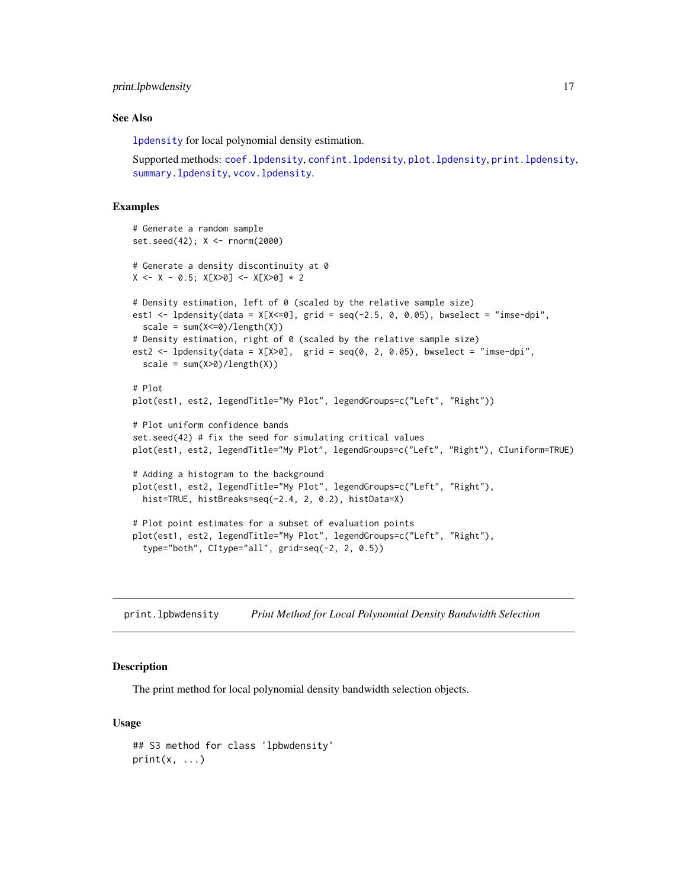## <span id="page-16-0"></span>print.lpbwdensity 17

#### See Also

[lpdensity](#page-7-1) for local polynomial density estimation.

Supported methods: [coef.lpdensity](#page-3-1), [confint.lpdensity](#page-4-1), [plot.lpdensity](#page-13-1), [print.lpdensity](#page-17-1), [summary.lpdensity](#page-19-1), [vcov.lpdensity](#page-20-1).

## Examples

```
# Generate a random sample
set.seed(42); X <- rnorm(2000)
# Generate a density discontinuity at 0
X \leftarrow X - 0.5; X[X>0] \leftarrow X[X>0] * 2# Density estimation, left of 0 (scaled by the relative sample size)
est1 <- lpdensity(data = X[X\le 0], grid = seq(-2.5, 0, 0.05), bwselect = "imse-dpi",
  scale = sum(X<=0)/length(X))# Density estimation, right of 0 (scaled by the relative sample size)
est2 <- lpdensity(data = X[X>0], grid = seq(0, 2, 0.05), bwselect = "imse-dpi",
  scale = sum(X>0)/length(X))# Plot
plot(est1, est2, legendTitle="My Plot", legendGroups=c("Left", "Right"))
# Plot uniform confidence bands
set.seed(42) # fix the seed for simulating critical values
plot(est1, est2, legendTitle="My Plot", legendGroups=c("Left", "Right"), CIuniform=TRUE)
# Adding a histogram to the background
plot(est1, est2, legendTitle="My Plot", legendGroups=c("Left", "Right"),
  hist=TRUE, histBreaks=seq(-2.4, 2, 0.2), histData=X)
# Plot point estimates for a subset of evaluation points
plot(est1, est2, legendTitle="My Plot", legendGroups=c("Left", "Right"),
  type="both", CItype="all", grid=seq(-2, 2, 0.5))
```
<span id="page-16-1"></span>print.lpbwdensity *Print Method for Local Polynomial Density Bandwidth Selection*

## Description

The print method for local polynomial density bandwidth selection objects.

#### Usage

```
## S3 method for class 'lpbwdensity'
print(x, \ldots)
```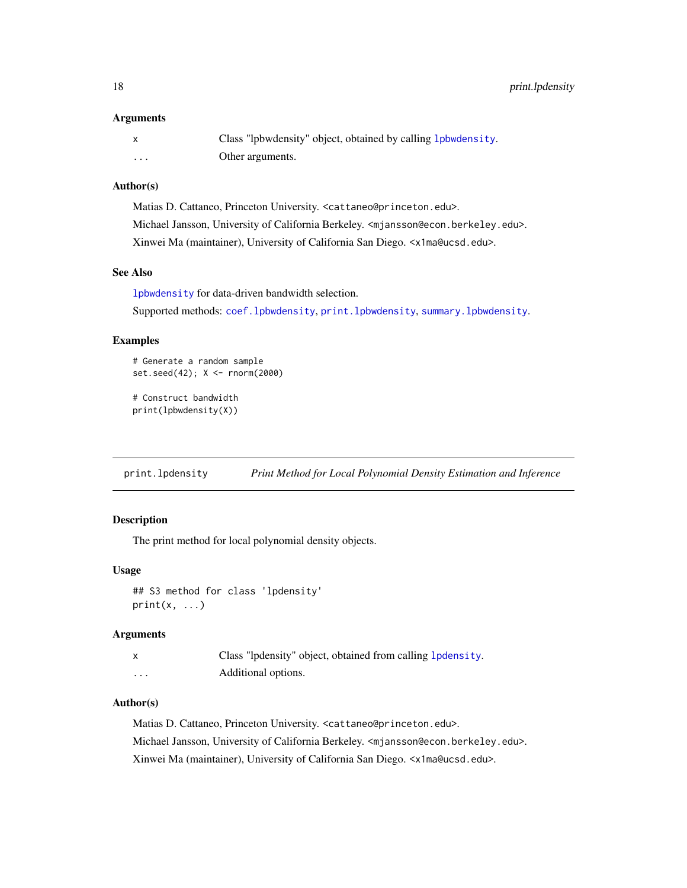#### <span id="page-17-0"></span>**Arguments**

|   | Class "lpbwdensity" object, obtained by calling 1 pbwdensity. |
|---|---------------------------------------------------------------|
| . | Other arguments.                                              |

#### Author(s)

Matias D. Cattaneo, Princeton University. <cattaneo@princeton.edu>. Michael Jansson, University of California Berkeley. <mjansson@econ.berkeley.edu>. Xinwei Ma (maintainer), University of California San Diego. <x1ma@ucsd.edu>.

#### See Also

[lpbwdensity](#page-5-1) for data-driven bandwidth selection. Supported methods: [coef.lpbwdensity](#page-2-1), [print.lpbwdensity](#page-16-1), [summary.lpbwdensity](#page-18-1).

## Examples

```
# Generate a random sample
set.seed(42); X <- rnorm(2000)
```

```
# Construct bandwidth
print(lpbwdensity(X))
```
<span id="page-17-1"></span>print.lpdensity *Print Method for Local Polynomial Density Estimation and Inference*

## Description

The print method for local polynomial density objects.

## Usage

```
## S3 method for class 'lpdensity'
print(x, \ldots)
```
## Arguments

| x        | Class "lpdensity" object, obtained from calling <b>lpdensity</b> . |
|----------|--------------------------------------------------------------------|
| $\cdots$ | Additional options.                                                |

## Author(s)

Matias D. Cattaneo, Princeton University. <cattaneo@princeton.edu>. Michael Jansson, University of California Berkeley. <mjansson@econ.berkeley.edu>. Xinwei Ma (maintainer), University of California San Diego. <x1ma@ucsd.edu>.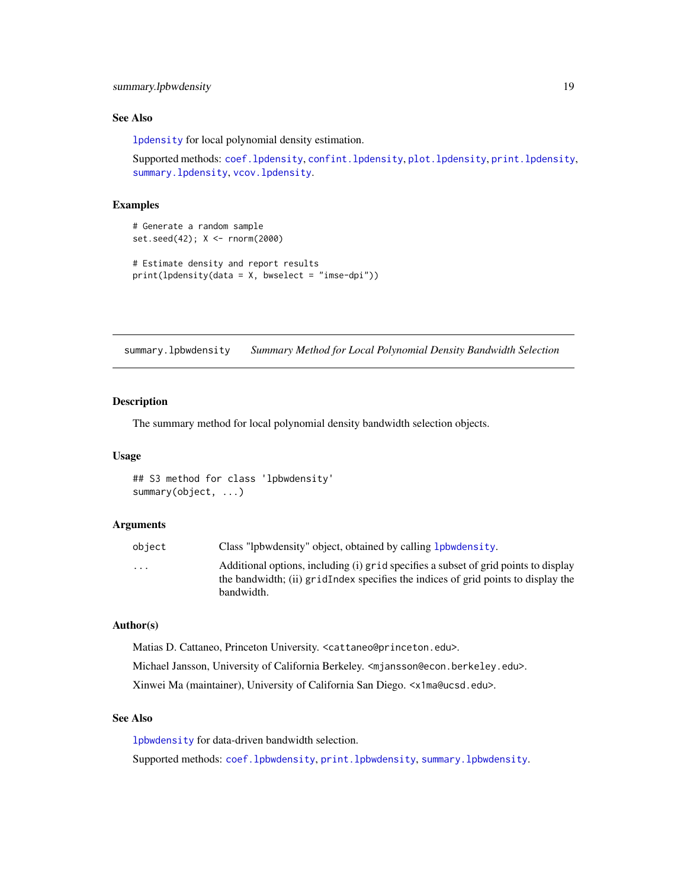#### <span id="page-18-0"></span>See Also

[lpdensity](#page-7-1) for local polynomial density estimation.

Supported methods: [coef.lpdensity](#page-3-1), [confint.lpdensity](#page-4-1), [plot.lpdensity](#page-13-1), [print.lpdensity](#page-17-1), [summary.lpdensity](#page-19-1), [vcov.lpdensity](#page-20-1).

## Examples

```
# Generate a random sample
set.seed(42); X <- rnorm(2000)
# Estimate density and report results
print(1pdensity(data = X, bwselect = "imse-dpi"))
```
<span id="page-18-1"></span>summary.lpbwdensity *Summary Method for Local Polynomial Density Bandwidth Selection*

#### Description

The summary method for local polynomial density bandwidth selection objects.

## Usage

## S3 method for class 'lpbwdensity' summary(object, ...)

## Arguments

| obiect                  | Class "lpbwdensity" object, obtained by calling <b>lpbwdensity</b> .                                                                                                     |
|-------------------------|--------------------------------------------------------------------------------------------------------------------------------------------------------------------------|
| $\cdot$ $\cdot$ $\cdot$ | Additional options, including (i) grid specifies a subset of grid points to display<br>the bandwidth; (ii) gridIndex specifies the indices of grid points to display the |
|                         | bandwidth.                                                                                                                                                               |

## Author(s)

Matias D. Cattaneo, Princeton University. <cattaneo@princeton.edu>.

Michael Jansson, University of California Berkeley. <mjansson@econ.berkeley.edu>.

Xinwei Ma (maintainer), University of California San Diego. <x1ma@ucsd.edu>.

## See Also

[lpbwdensity](#page-5-1) for data-driven bandwidth selection.

Supported methods: [coef.lpbwdensity](#page-2-1), [print.lpbwdensity](#page-16-1), [summary.lpbwdensity](#page-18-1).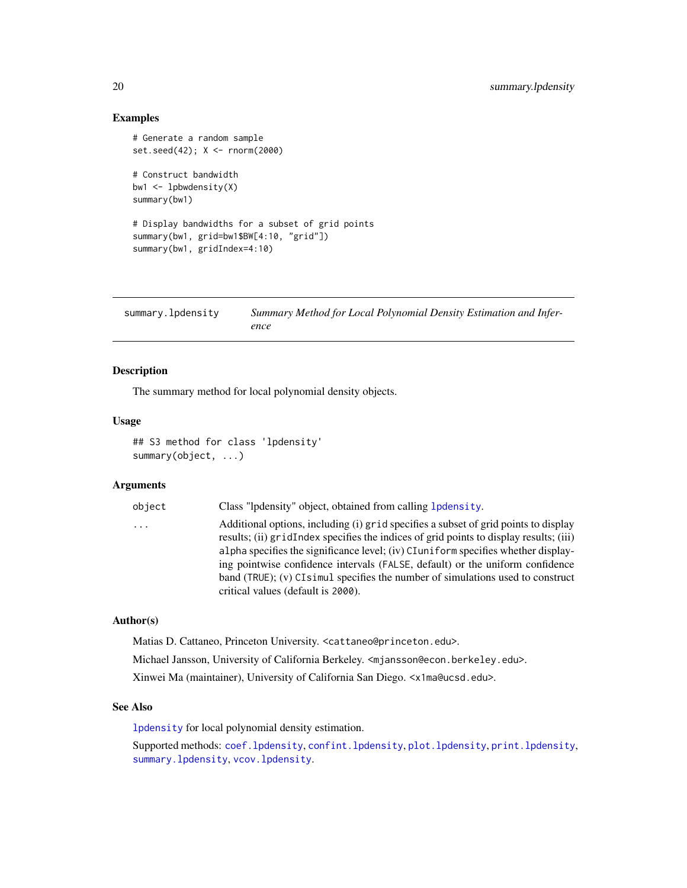## Examples

```
# Generate a random sample
set.seed(42); X <- rnorm(2000)
# Construct bandwidth
bw1 \leftarrow lpbwdensity(X)
summary(bw1)
# Display bandwidths for a subset of grid points
summary(bw1, grid=bw1$BW[4:10, "grid"])
summary(bw1, gridIndex=4:10)
```
<span id="page-19-1"></span>

| summary.lpdensity | Summary Method for Local Polynomial Density Estimation and Infer- |
|-------------------|-------------------------------------------------------------------|
|                   | ence                                                              |

## Description

The summary method for local polynomial density objects.

#### Usage

## S3 method for class 'lpdensity' summary(object, ...)

## Arguments

| object   | Class "lpdensity" object, obtained from calling 1 pdensity.                                                                                                                   |
|----------|-------------------------------------------------------------------------------------------------------------------------------------------------------------------------------|
| $\ddots$ | Additional options, including (i) grid specifies a subset of grid points to display<br>results; (ii) gridIndex specifies the indices of grid points to display results; (iii) |
|          | alpha specifies the significance level; (iv) CI uniform specifies whether display-                                                                                            |
|          | ing pointwise confidence intervals (FALSE, default) or the uniform confidence                                                                                                 |
|          | band (TRUE); $(v)$ CI simul specifies the number of simulations used to construct                                                                                             |
|          | critical values (default is 2000).                                                                                                                                            |

## Author(s)

Matias D. Cattaneo, Princeton University. <cattaneo@princeton.edu>.

Michael Jansson, University of California Berkeley. <mjansson@econ.berkeley.edu>.

Xinwei Ma (maintainer), University of California San Diego. <x1ma@ucsd.edu>.

#### See Also

[lpdensity](#page-7-1) for local polynomial density estimation.

Supported methods: [coef.lpdensity](#page-3-1), [confint.lpdensity](#page-4-1), [plot.lpdensity](#page-13-1), [print.lpdensity](#page-17-1), [summary.lpdensity](#page-19-1), [vcov.lpdensity](#page-20-1).

<span id="page-19-0"></span>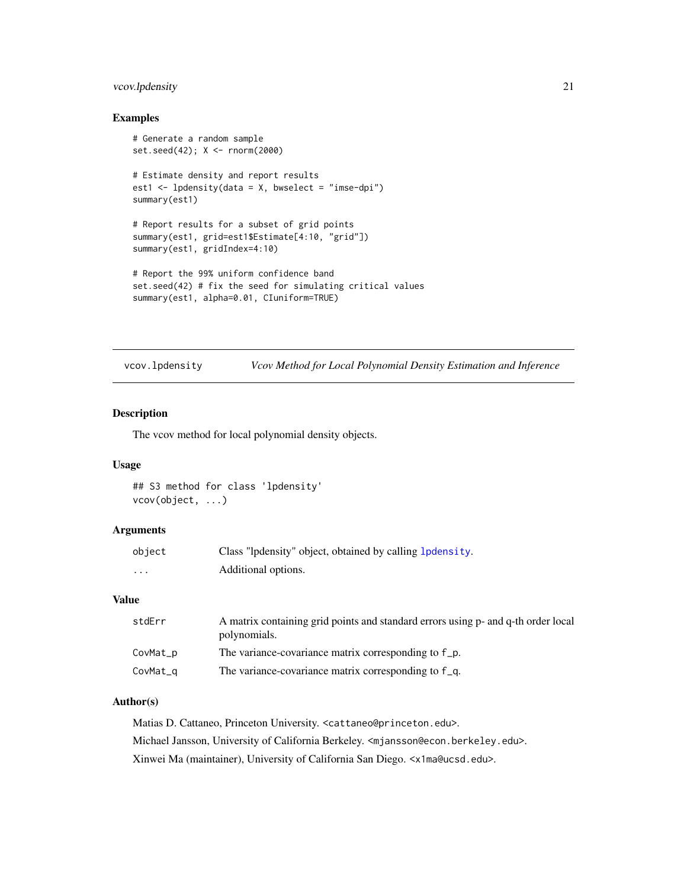## <span id="page-20-0"></span>vcov.lpdensity 21

## Examples

```
# Generate a random sample
set.seed(42); X <- rnorm(2000)
# Estimate density and report results
est1 <- lpdensity(data = X, bwselect = "imse-dpi")
summary(est1)
# Report results for a subset of grid points
summary(est1, grid=est1$Estimate[4:10, "grid"])
summary(est1, gridIndex=4:10)
# Report the 99% uniform confidence band
set.seed(42) # fix the seed for simulating critical values
summary(est1, alpha=0.01, CIuniform=TRUE)
```
<span id="page-20-1"></span>vcov.lpdensity *Vcov Method for Local Polynomial Density Estimation and Inference*

## Description

The vcov method for local polynomial density objects.

#### Usage

## S3 method for class 'lpdensity' vcov(object, ...)

## Arguments

| object | Class "lpdensity" object, obtained by calling 1 pdensity. |
|--------|-----------------------------------------------------------|
| .      | Additional options.                                       |

#### Value

| stdErr   | A matrix containing grid points and standard errors using p- and q-th order local<br>polynomials. |
|----------|---------------------------------------------------------------------------------------------------|
| CovMat_p | The variance-covariance matrix corresponding to f_p.                                              |
| CovMat_q | The variance-covariance matrix corresponding to f q.                                              |

## Author(s)

Matias D. Cattaneo, Princeton University. <cattaneo@princeton.edu>. Michael Jansson, University of California Berkeley. <mjansson@econ.berkeley.edu>. Xinwei Ma (maintainer), University of California San Diego. <x1ma@ucsd.edu>.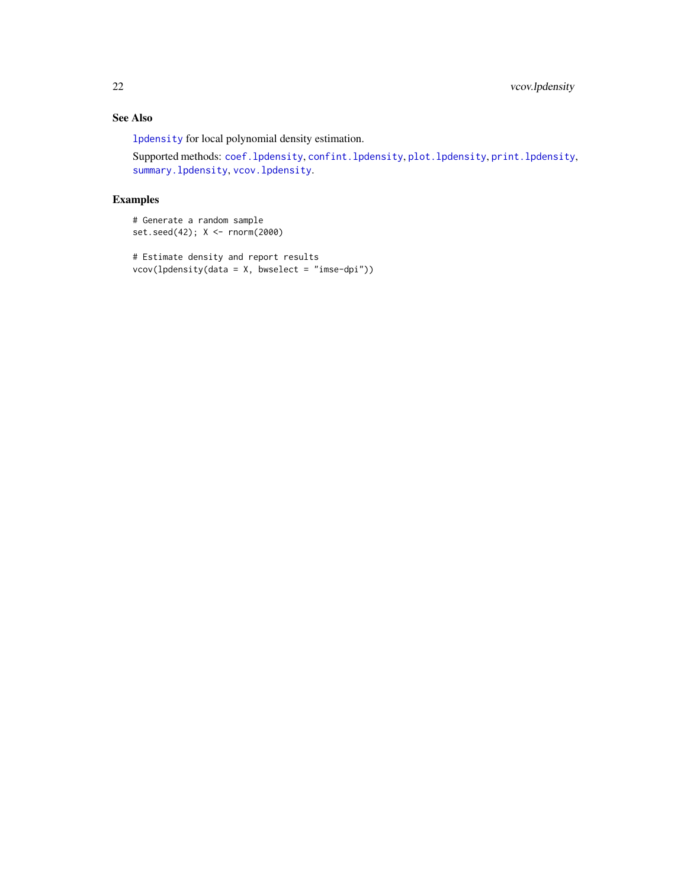## <span id="page-21-0"></span>See Also

[lpdensity](#page-7-1) for local polynomial density estimation.

Supported methods: [coef.lpdensity](#page-3-1), [confint.lpdensity](#page-4-1), [plot.lpdensity](#page-13-1), [print.lpdensity](#page-17-1), [summary.lpdensity](#page-19-1), [vcov.lpdensity](#page-20-1).

## Examples

```
# Generate a random sample
set.seed(42); X <- rnorm(2000)
```

```
# Estimate density and report results
vcov(lpdensity(data = X, bwselect = "imse-dpi"))
```